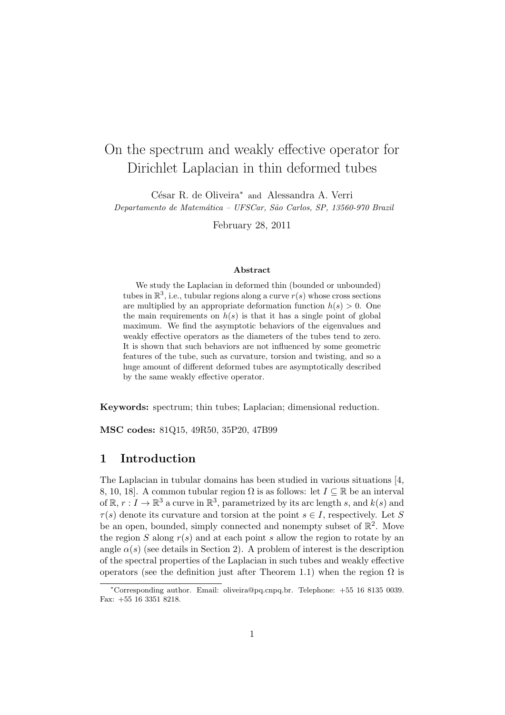# On the spectrum and weakly effective operator for Dirichlet Laplacian in thin deformed tubes

César R. de Oliveira<sup>∗</sup> and Alessandra A. Verri Departamento de Matemática – UFSCar, São Carlos, SP, 13560-970 Brazil

February 28, 2011

#### Abstract

We study the Laplacian in deformed thin (bounded or unbounded) tubes in  $\mathbb{R}^3$ , i.e., tubular regions along a curve  $r(s)$  whose cross sections are multiplied by an appropriate deformation function  $h(s) > 0$ . One the main requirements on  $h(s)$  is that it has a single point of global maximum. We find the asymptotic behaviors of the eigenvalues and weakly effective operators as the diameters of the tubes tend to zero. It is shown that such behaviors are not influenced by some geometric features of the tube, such as curvature, torsion and twisting, and so a huge amount of different deformed tubes are asymptotically described by the same weakly effective operator.

Keywords: spectrum; thin tubes; Laplacian; dimensional reduction.

MSC codes: 81Q15, 49R50, 35P20, 47B99

## 1 Introduction

The Laplacian in tubular domains has been studied in various situations [4, 8, 10, 18]. A common tubular region  $\Omega$  is as follows: let  $I \subseteq \mathbb{R}$  be an interval of  $\mathbb{R}, r : I \to \mathbb{R}^3$  a curve in  $\mathbb{R}^3$ , parametrized by its arc length s, and  $k(s)$  and  $\tau(s)$  denote its curvature and torsion at the point  $s \in I$ , respectively. Let S be an open, bounded, simply connected and nonempty subset of  $\mathbb{R}^2$ . Move the region S along  $r(s)$  and at each point s allow the region to rotate by an angle  $\alpha(s)$  (see details in Section 2). A problem of interest is the description of the spectral properties of the Laplacian in such tubes and weakly effective operators (see the definition just after Theorem 1.1) when the region  $\Omega$  is

<sup>∗</sup>Corresponding author. Email: oliveira@pq.cnpq.br. Telephone: +55 16 8135 0039. Fax: +55 16 3351 8218.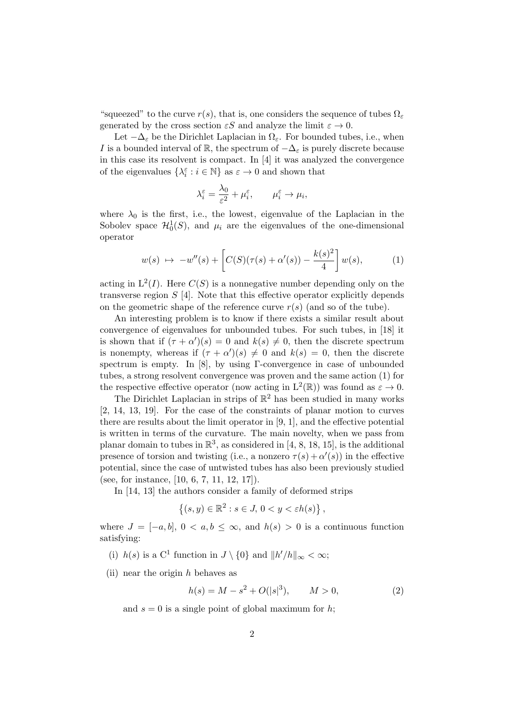"squeezed" to the curve  $r(s)$ , that is, one considers the sequence of tubes  $\Omega_{\varepsilon}$ generated by the cross section  $\epsilon S$  and analyze the limit  $\varepsilon \to 0$ .

Let  $-\Delta_{\varepsilon}$  be the Dirichlet Laplacian in  $\Omega_{\varepsilon}$ . For bounded tubes, i.e., when I is a bounded interval of R, the spectrum of  $-\Delta_{\varepsilon}$  is purely discrete because in this case its resolvent is compact. In [4] it was analyzed the convergence of the eigenvalues  $\{\lambda^{\varepsilon}_i: i\in\mathbb{N}\}$  as  $\varepsilon\to 0$  and shown that

$$
\lambda_i^{\varepsilon} = \frac{\lambda_0}{\varepsilon^2} + \mu_i^{\varepsilon}, \qquad \mu_i^{\varepsilon} \to \mu_i,
$$

where  $\lambda_0$  is the first, i.e., the lowest, eigenvalue of the Laplacian in the Sobolev space  $\mathcal{H}_0^1(S)$ , and  $\mu_i$  are the eigenvalues of the one-dimensional operator

$$
w(s) \mapsto -w''(s) + \left[C(S)(\tau(s) + \alpha'(s)) - \frac{k(s)^2}{4}\right]w(s),
$$
 (1)

acting in  $L^2(I)$ . Here  $C(S)$  is a nonnegative number depending only on the transverse region  $S$  [4]. Note that this effective operator explicitly depends on the geometric shape of the reference curve  $r(s)$  (and so of the tube).

An interesting problem is to know if there exists a similar result about convergence of eigenvalues for unbounded tubes. For such tubes, in [18] it is shown that if  $(\tau + \alpha')(s) = 0$  and  $k(s) \neq 0$ , then the discrete spectrum is nonempty, whereas if  $(\tau + \alpha')(s) \neq 0$  and  $k(s) = 0$ , then the discrete spectrum is empty. In [8], by using Γ-convergence in case of unbounded tubes, a strong resolvent convergence was proven and the same action (1) for the respective effective operator (now acting in  $L^2(\mathbb{R})$ ) was found as  $\varepsilon \to 0$ .

The Dirichlet Laplacian in strips of  $\mathbb{R}^2$  has been studied in many works [2, 14, 13, 19]. For the case of the constraints of planar motion to curves there are results about the limit operator in [9, 1], and the effective potential is written in terms of the curvature. The main novelty, when we pass from planar domain to tubes in  $\mathbb{R}^3$ , as considered in [4, 8, 18, 15], is the additional presence of torsion and twisting (i.e., a nonzero  $\tau(s) + \alpha'(s)$ ) in the effective potential, since the case of untwisted tubes has also been previously studied (see, for instance, [10, 6, 7, 11, 12, 17]).

In [14, 13] the authors consider a family of deformed strips

$$
\{(s,y)\in\mathbb{R}^2:s\in J,\,0
$$

where  $J = [-a, b], 0 < a, b \leq \infty$ , and  $h(s) > 0$  is a continuous function satisfying:

- (i)  $h(s)$  is a C<sup>1</sup> function in  $J \setminus \{0\}$  and  $||h'/h||_{\infty} < \infty$ ;
- (ii) near the origin  $h$  behaves as

$$
h(s) = M - s^2 + O(|s|^3), \qquad M > 0,
$$
\n(2)

and  $s = 0$  is a single point of global maximum for h;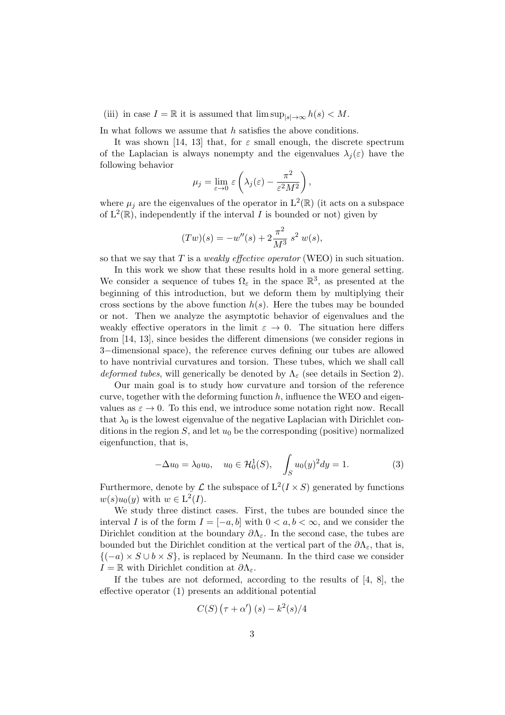(iii) in case  $I = \mathbb{R}$  it is assumed that  $\limsup_{|s| \to \infty} h(s) < M$ .

In what follows we assume that h satisfies the above conditions.

It was shown [14, 13] that, for  $\varepsilon$  small enough, the discrete spectrum of the Laplacian is always nonempty and the eigenvalues  $\lambda_i(\varepsilon)$  have the following behavior  $\Omega$ 

$$
\mu_j = \lim_{\varepsilon \to 0} \varepsilon \left( \lambda_j(\varepsilon) - \frac{\pi^2}{\varepsilon^2 M^2} \right),
$$

where  $\mu_j$  are the eigenvalues of the operator in  $L^2(\mathbb{R})$  (it acts on a subspace of  $L^2(\mathbb{R})$ , independently if the interval I is bounded or not) given by

$$
(Tw)(s) = -w''(s) + 2\frac{\pi^2}{M^3} s^2 w(s),
$$

so that we say that  $T$  is a *weakly effective operator* (WEO) in such situation.

In this work we show that these results hold in a more general setting. We consider a sequence of tubes  $\Omega_{\varepsilon}$  in the space  $\mathbb{R}^3$ , as presented at the beginning of this introduction, but we deform them by multiplying their cross sections by the above function  $h(s)$ . Here the tubes may be bounded or not. Then we analyze the asymptotic behavior of eigenvalues and the weakly effective operators in the limit  $\varepsilon \to 0$ . The situation here differs from [14, 13], since besides the different dimensions (we consider regions in 3−dimensional space), the reference curves defining our tubes are allowed to have nontrivial curvatures and torsion. These tubes, which we shall call deformed tubes, will generically be denoted by  $\Lambda_{\varepsilon}$  (see details in Section 2).

Our main goal is to study how curvature and torsion of the reference curve, together with the deforming function  $h$ , influence the WEO and eigenvalues as  $\varepsilon \to 0$ . To this end, we introduce some notation right now. Recall that  $\lambda_0$  is the lowest eigenvalue of the negative Laplacian with Dirichlet conditions in the region  $S$ , and let  $u_0$  be the corresponding (positive) normalized eigenfunction, that is,

$$
-\Delta u_0 = \lambda_0 u_0, \quad u_0 \in \mathcal{H}_0^1(S), \quad \int_S u_0(y)^2 dy = 1.
$$
 (3)

Furthermore, denote by  $\mathcal L$  the subspace of  $L^2(I \times S)$  generated by functions  $w(s)u_0(y)$  with  $w \in L^2(I)$ .

We study three distinct cases. First, the tubes are bounded since the interval I is of the form  $I = [-a, b]$  with  $0 < a, b < \infty$ , and we consider the Dirichlet condition at the boundary  $\partial \Lambda_{\varepsilon}$ . In the second case, the tubes are bounded but the Dirichlet condition at the vertical part of the  $\partial\Lambda_{\varepsilon}$ , that is,  ${(-a) \times S \cup b \times S}$ , is replaced by Neumann. In the third case we consider  $I = \mathbb{R}$  with Dirichlet condition at  $\partial \Lambda_{\varepsilon}$ .

If the tubes are not deformed, according to the results of [4, 8], the effective operator (1) presents an additional potential

$$
C(S)\left(\tau+\alpha'\right)(s)-k^2(s)/4
$$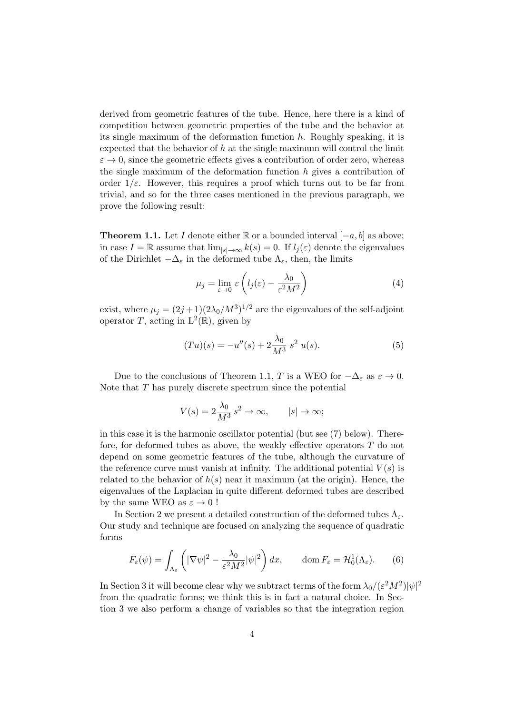derived from geometric features of the tube. Hence, here there is a kind of competition between geometric properties of the tube and the behavior at its single maximum of the deformation function  $h$ . Roughly speaking, it is expected that the behavior of  $h$  at the single maximum will control the limit  $\varepsilon \to 0$ , since the geometric effects gives a contribution of order zero, whereas the single maximum of the deformation function  $h$  gives a contribution of order  $1/\varepsilon$ . However, this requires a proof which turns out to be far from trivial, and so for the three cases mentioned in the previous paragraph, we prove the following result:

**Theorem 1.1.** Let I denote either  $\mathbb{R}$  or a bounded interval  $[-a, b]$  as above; in case  $I = \mathbb{R}$  assume that  $\lim_{|s| \to \infty} k(s) = 0$ . If  $l_i(\varepsilon)$  denote the eigenvalues of the Dirichlet  $-\Delta_{\varepsilon}$  in the deformed tube  $\Lambda_{\varepsilon}$ , then, the limits

$$
\mu_j = \lim_{\varepsilon \to 0} \varepsilon \left( l_j(\varepsilon) - \frac{\lambda_0}{\varepsilon^2 M^2} \right) \tag{4}
$$

exist, where  $\mu_j = (2j+1)(2\lambda_0/M^3)^{1/2}$  are the eigenvalues of the self-adjoint operator T, acting in  $L^2(\mathbb{R})$ , given by

$$
(Tu)(s) = -u''(s) + 2\frac{\lambda_0}{M^3} s^2 u(s).
$$
 (5)

Due to the conclusions of Theorem 1.1, T is a WEO for  $-\Delta_{\varepsilon}$  as  $\varepsilon \to 0$ . Note that T has purely discrete spectrum since the potential

$$
V(s) = 2\frac{\lambda_0}{M^3} s^2 \to \infty, \qquad |s| \to \infty;
$$

in this case it is the harmonic oscillator potential (but see (7) below). Therefore, for deformed tubes as above, the weakly effective operators T do not depend on some geometric features of the tube, although the curvature of the reference curve must vanish at infinity. The additional potential  $V(s)$  is related to the behavior of  $h(s)$  near it maximum (at the origin). Hence, the eigenvalues of the Laplacian in quite different deformed tubes are described by the same WEO as  $\varepsilon \to 0$ !

In Section 2 we present a detailed construction of the deformed tubes  $\Lambda_{\varepsilon}$ . Our study and technique are focused on analyzing the sequence of quadratic forms

$$
F_{\varepsilon}(\psi) = \int_{\Lambda_{\varepsilon}} \left( |\nabla \psi|^2 - \frac{\lambda_0}{\varepsilon^2 M^2} |\psi|^2 \right) dx, \qquad \text{dom}\, F_{\varepsilon} = \mathcal{H}_0^1(\Lambda_{\varepsilon}).\tag{6}
$$

In Section 3 it will become clear why we subtract terms of the form  $\lambda_0/(\varepsilon^2M^2)|\psi|^2$ from the quadratic forms; we think this is in fact a natural choice. In Section 3 we also perform a change of variables so that the integration region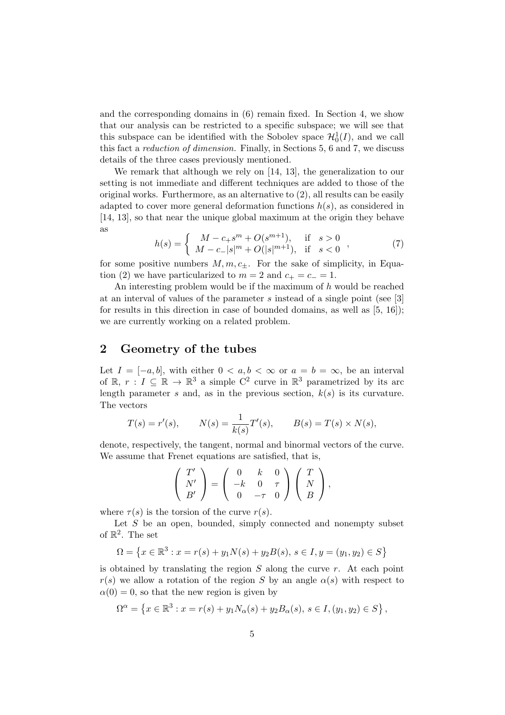and the corresponding domains in (6) remain fixed. In Section 4, we show that our analysis can be restricted to a specific subspace; we will see that this subspace can be identified with the Sobolev space  $\mathcal{H}_0^1(I)$ , and we call this fact a reduction of dimension. Finally, in Sections 5, 6 and 7, we discuss details of the three cases previously mentioned.

We remark that although we rely on [14, 13], the generalization to our setting is not immediate and different techniques are added to those of the original works. Furthermore, as an alternative to (2), all results can be easily adapted to cover more general deformation functions  $h(s)$ , as considered in [14, 13], so that near the unique global maximum at the origin they behave as

$$
h(s) = \begin{cases} M - c_+ s^m + O(s^{m+1}), & \text{if } s > 0 \\ M - c_- |s|^m + O(|s|^{m+1}), & \text{if } s < 0 \end{cases},
$$
 (7)

for some positive numbers  $M, m, c_{\pm}$ . For the sake of simplicity, in Equation (2) we have particularized to  $m = 2$  and  $c_{+} = c_{-} = 1$ .

An interesting problem would be if the maximum of  $h$  would be reached at an interval of values of the parameter s instead of a single point (see [3] for results in this direction in case of bounded domains, as well as [5, 16]); we are currently working on a related problem.

## 2 Geometry of the tubes

Let  $I = [-a, b]$ , with either  $0 < a, b < \infty$  or  $a = b = \infty$ , be an interval of  $\mathbb{R}, r : I \subseteq \mathbb{R} \to \mathbb{R}^3$  a simple  $C^2$  curve in  $\mathbb{R}^3$  parametrized by its arc length parameter s and, as in the previous section,  $k(s)$  is its curvature. The vectors

$$
T(s) = r'(s),
$$
  $N(s) = \frac{1}{k(s)}T'(s),$   $B(s) = T(s) \times N(s),$ 

denote, respectively, the tangent, normal and binormal vectors of the curve. We assume that Frenet equations are satisfied, that is,

$$
\left(\begin{array}{c}T'\\N'\\B'\end{array}\right)=\left(\begin{array}{ccc}0&k&0\\-k&0&\tau\\0&-\tau&0\end{array}\right)\left(\begin{array}{c}T\\N\\B\end{array}\right),\,
$$

where  $\tau(s)$  is the torsion of the curve  $r(s)$ .

Let  $S$  be an open, bounded, simply connected and nonempty subset of  $\mathbb{R}^2$ . The set

$$
\Omega = \left\{ x \in \mathbb{R}^3 : x = r(s) + y_1 N(s) + y_2 B(s), \ s \in I, y = (y_1, y_2) \in S \right\}
$$

is obtained by translating the region  $S$  along the curve  $r$ . At each point  $r(s)$  we allow a rotation of the region S by an angle  $\alpha(s)$  with respect to  $\alpha(0) = 0$ , so that the new region is given by

$$
\Omega^{\alpha} = \left\{ x \in \mathbb{R}^3 : x = r(s) + y_1 N_{\alpha}(s) + y_2 B_{\alpha}(s), \ s \in I, (y_1, y_2) \in S \right\},\
$$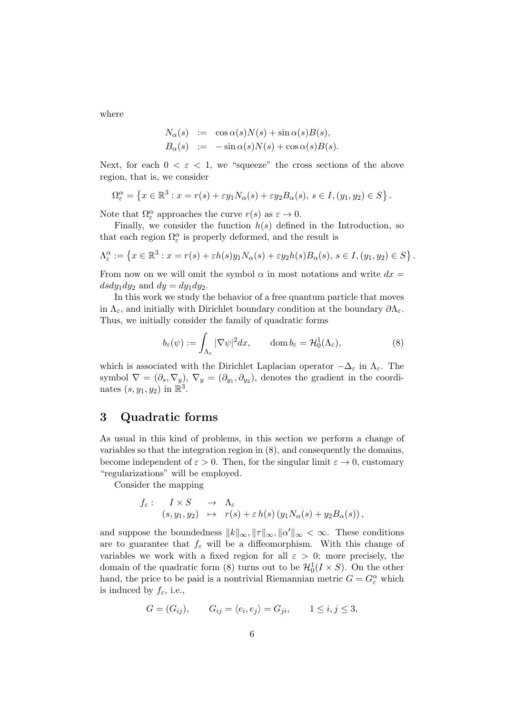where

$$
N_{\alpha}(s) := \cos \alpha(s)N(s) + \sin \alpha(s)B(s),
$$
  
\n
$$
B_{\alpha}(s) := -\sin \alpha(s)N(s) + \cos \alpha(s)B(s).
$$

Next, for each  $0 < \varepsilon < 1$ , we "squeeze" the cross sections of the above region, that is, we consider

$$
\Omega_{\varepsilon}^{\alpha} = \left\{ x \in \mathbb{R}^3 : x = r(s) + \varepsilon y_1 N_{\alpha}(s) + \varepsilon y_2 B_{\alpha}(s), \ s \in I, (y_1, y_2) \in S \right\}.
$$

Note that  $\Omega_{\varepsilon}^{\alpha}$  approaches the curve  $r(s)$  as  $\varepsilon \to 0$ .

Finally, we consider the function  $h(s)$  defined in the Introduction, so that each region  $\Omega_{\varepsilon}^{\alpha}$  is properly deformed, and the result is

$$
\Lambda_{\varepsilon}^{\alpha} := \left\{ x \in \mathbb{R}^3 : x = r(s) + \varepsilon h(s) y_1 N_{\alpha}(s) + \varepsilon y_2 h(s) B_{\alpha}(s), \ s \in I, (y_1, y_2) \in S \right\}.
$$

From now on we will omit the symbol  $\alpha$  in most notations and write  $dx =$  $dsdy_1dy_2$  and  $dy = dy_1dy_2$ .

In this work we study the behavior of a free quantum particle that moves in  $\Lambda_{\varepsilon}$ , and initially with Dirichlet boundary condition at the boundary  $\partial \Lambda_{\varepsilon}$ . Thus, we initially consider the family of quadratic forms

$$
b_{\varepsilon}(\psi) := \int_{\Lambda_{\varepsilon}} |\nabla \psi|^2 dx, \qquad \text{dom}\, b_{\varepsilon} = \mathcal{H}_0^1(\Lambda_{\varepsilon}), \tag{8}
$$

which is associated with the Dirichlet Laplacian operator  $-\Delta_{\varepsilon}$  in  $\Lambda_{\varepsilon}$ . The symbol  $\nabla = (\partial_s, \nabla_y), \nabla_y = (\partial_{y_1}, \partial_{y_2}),$  denotes the gradient in the coordinates  $(s, y_1, y_2)$  in  $\mathbb{R}^3$ .

# 3 Quadratic forms

As usual in this kind of problems, in this section we perform a change of variables so that the integration region in (8), and consequently the domains, become independent of  $\varepsilon > 0$ . Then, for the singular limit  $\varepsilon \to 0$ , customary "regularizations" will be employed.

Consider the mapping

$$
f_{\varepsilon}: \quad I \times S \quad \to \quad \Lambda_{\varepsilon} \n(s, y_1, y_2) \quad \mapsto \quad r(s) + \varepsilon h(s) \left( y_1 N_{\alpha}(s) + y_2 B_{\alpha}(s) \right),
$$

and suppose the boundedness  $||k||_{\infty}, ||\tau||_{\infty}, ||\alpha'||_{\infty} < \infty$ . These conditions are to guarantee that  $f_{\varepsilon}$  will be a diffeomorphism. With this change of variables we work with a fixed region for all  $\varepsilon > 0$ ; more precisely, the domain of the quadratic form (8) turns out to be  $\mathcal{H}_0^1(I \times S)$ . On the other hand, the price to be paid is a nontrivial Riemannian metric  $G = G_{\varepsilon}^{\alpha}$  which is induced by  $f_{\varepsilon}$ , i.e.,

$$
G = (G_{ij}), \qquad G_{ij} = \langle e_i, e_j \rangle = G_{ji}, \qquad 1 \le i, j \le 3,
$$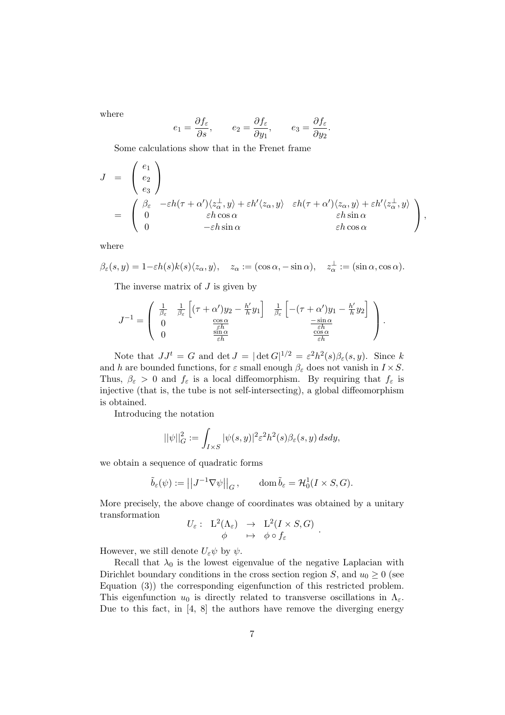where

$$
e_1 = \frac{\partial f_{\varepsilon}}{\partial s}, \qquad e_2 = \frac{\partial f_{\varepsilon}}{\partial y_1}, \qquad e_3 = \frac{\partial f_{\varepsilon}}{\partial y_2}.
$$

Some calculations show that in the Frenet frame

$$
J = \begin{pmatrix} e_1 \\ e_2 \\ e_3 \end{pmatrix}
$$
  
= 
$$
\begin{pmatrix} \beta_{\varepsilon} & -\varepsilon h(\tau + \alpha') \langle z_{\alpha}^{\perp}, y \rangle + \varepsilon h' \langle z_{\alpha}, y \rangle & \varepsilon h(\tau + \alpha') \langle z_{\alpha}, y \rangle + \varepsilon h' \langle z_{\alpha}^{\perp}, y \rangle \\ 0 & \varepsilon h \cos \alpha & \varepsilon h \sin \alpha \\ 0 & -\varepsilon h \sin \alpha & \varepsilon h \cos \alpha \end{pmatrix},
$$

where

$$
\beta_{\varepsilon}(s,y) = 1 - \varepsilon h(s) k(s) \langle z_{\alpha}, y \rangle, \quad z_{\alpha} := (\cos \alpha, -\sin \alpha), \quad z_{\alpha}^{\perp} := (\sin \alpha, \cos \alpha).
$$

The inverse matrix of  $J$  is given by

$$
J^{-1} = \begin{pmatrix} \frac{1}{\beta_{\varepsilon}} & \frac{1}{\beta_{\varepsilon}} \left[ (\tau + \alpha')y_2 - \frac{h'}{h}y_1 \right] & \frac{1}{\beta_{\varepsilon}} \left[ -(\tau + \alpha')y_1 - \frac{h'}{h}y_2 \right] \\ 0 & \frac{\cos \alpha}{\varepsilon h} \\ 0 & \frac{\sin \alpha}{\varepsilon h} \end{pmatrix} .
$$

Note that  $JJ^t = G$  and det  $J = |\det G|^{1/2} = \varepsilon^2 h^2(s) \beta_{\varepsilon}(s, y)$ . Since k and h are bounded functions, for  $\varepsilon$  small enough  $\beta_{\varepsilon}$  does not vanish in  $I \times S$ . Thus,  $\beta_{\varepsilon} > 0$  and  $f_{\varepsilon}$  is a local diffeomorphism. By requiring that  $f_{\varepsilon}$  is injective (that is, the tube is not self-intersecting), a global diffeomorphism is obtained.

Introducing the notation

$$
||\psi||_G^2 := \int_{I \times S} |\psi(s, y)|^2 \varepsilon^2 h^2(s) \beta_{\varepsilon}(s, y) ds dy,
$$

we obtain a sequence of quadratic forms

$$
\tilde{b}_{\varepsilon}(\psi) := \left| \left| J^{-1} \nabla \psi \right| \right|_G, \qquad \text{dom}\,\tilde{b}_{\varepsilon} = \mathcal{H}_0^1(I \times S, G).
$$

More precisely, the above change of coordinates was obtained by a unitary transformation

$$
U_{\varepsilon}: L^2(\Lambda_{\varepsilon}) \rightarrow L^2(I \times S, G)
$$
  

$$
\phi \mapsto \phi \circ f_{\varepsilon}
$$

.

However, we still denote  $U_{\varepsilon}\psi$  by  $\psi$ .

Recall that  $\lambda_0$  is the lowest eigenvalue of the negative Laplacian with Dirichlet boundary conditions in the cross section region S, and  $u_0 \geq 0$  (see Equation (3)) the corresponding eigenfunction of this restricted problem. This eigenfunction  $u_0$  is directly related to transverse oscillations in  $\Lambda_{\varepsilon}$ . Due to this fact, in [4, 8] the authors have remove the diverging energy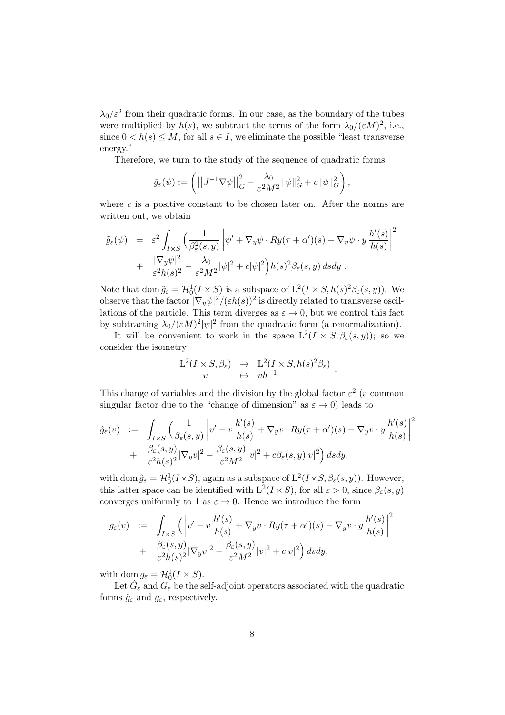$\lambda_0/\varepsilon^2$  from their quadratic forms. In our case, as the boundary of the tubes were multiplied by  $h(s)$ , we subtract the terms of the form  $\lambda_0/(\varepsilon M)^2$ , i.e., since  $0 < h(s) \leq M$ , for all  $s \in I$ , we eliminate the possible "least transverse energy."

Therefore, we turn to the study of the sequence of quadratic forms

$$
\tilde{g}_{\varepsilon}(\psi) := \left( \left| \left| J^{-1} \nabla \psi \right| \right|_G^2 - \frac{\lambda_0}{\varepsilon^2 M^2} \|\psi\|_G^2 + c \|\psi\|_G^2 \right),
$$

where c is a positive constant to be chosen later on. After the norms are written out, we obtain

$$
\tilde{g}_{\varepsilon}(\psi) = \varepsilon^{2} \int_{I \times S} \left( \frac{1}{\beta_{\varepsilon}^{2}(s, y)} \left| \psi' + \nabla_{y} \psi \cdot Ry(\tau + \alpha')(s) - \nabla_{y} \psi \cdot y \frac{h'(s)}{h(s)} \right|^{2} + \frac{|\nabla_{y} \psi|^{2}}{\varepsilon^{2}h(s)^{2}} - \frac{\lambda_{0}}{\varepsilon^{2}M^{2}} |\psi|^{2} + c|\psi|^{2} \right) h(s)^{2} \beta_{\varepsilon}(s, y) ds dy.
$$

Note that dom  $\tilde{g}_{\varepsilon} = \mathcal{H}_0^1(I \times S)$  is a subspace of  $L^2(I \times S, h(s)^2 \beta_{\varepsilon}(s, y))$ . We observe that the factor  $|\nabla_y \psi|^2/(\varepsilon h(s))^2$  is directly related to transverse oscillations of the particle. This term diverges as  $\varepsilon \to 0$ , but we control this fact by subtracting  $\lambda_0/(\varepsilon M)^2 |\psi|^2$  from the quadratic form (a renormalization).

It will be convenient to work in the space  $L^2(I \times S, \beta_{\varepsilon}(s, y));$  so we consider the isometry

$$
\begin{array}{ccc}\nL^2(I \times S, \beta_{\varepsilon}) & \to & L^2(I \times S, h(s)^2 \beta_{\varepsilon}) \\
v & \mapsto & v h^{-1}\n\end{array}
$$

.

This change of variables and the division by the global factor  $\varepsilon^2$  (a common singular factor due to the "change of dimension" as  $\varepsilon \to 0$ ) leads to

$$
\hat{g}_{\varepsilon}(v) := \int_{I\times S} \left(\frac{1}{\beta_{\varepsilon}(s,y)} \left| v'-v\,\frac{h'(s)}{h(s)} + \nabla_y v\cdot Ry(\tau+\alpha')(s) - \nabla_y v\cdot y\,\frac{h'(s)}{h(s)}\right|^2 \n+ \frac{\beta_{\varepsilon}(s,y)}{\varepsilon^2 h(s)^2} |\nabla_y v|^2 - \frac{\beta_{\varepsilon}(s,y)}{\varepsilon^2 M^2} |v|^2 + c\beta_{\varepsilon}(s,y)|v|^2 \right) ds dy,
$$

with dom  $\hat{g}_{\varepsilon} = \mathcal{H}_0^1(I \times S)$ , again as a subspace of  $L^2(I \times S, \beta_{\varepsilon}(s, y))$ . However, this latter space can be identified with  $L^2(I \times S)$ , for all  $\varepsilon > 0$ , since  $\beta_{\varepsilon}(s, y)$ converges uniformly to 1 as  $\varepsilon \to 0$ . Hence we introduce the form

$$
g_{\varepsilon}(v) := \int_{I\times S} \left( \left| v^{\prime} - v \frac{h^{\prime}(s)}{h(s)} + \nabla_{y} v \cdot Ry(\tau + \alpha^{\prime})(s) - \nabla_{y} v \cdot y \frac{h^{\prime}(s)}{h(s)} \right|^{2} + \frac{\beta_{\varepsilon}(s, y)}{\varepsilon^{2}h(s)^{2}} |\nabla_{y} v|^{2} - \frac{\beta_{\varepsilon}(s, y)}{\varepsilon^{2}M^{2}} |v|^{2} + c|v|^{2} \right) ds dy,
$$

with dom  $g_{\varepsilon} = \mathcal{H}_0^1(I \times S)$ .

Let  $\hat{G}_{\varepsilon}$  and  $G_{\varepsilon}$  be the self-adjoint operators associated with the quadratic forms  $\hat{g}_{\varepsilon}$  and  $g_{\varepsilon}$ , respectively.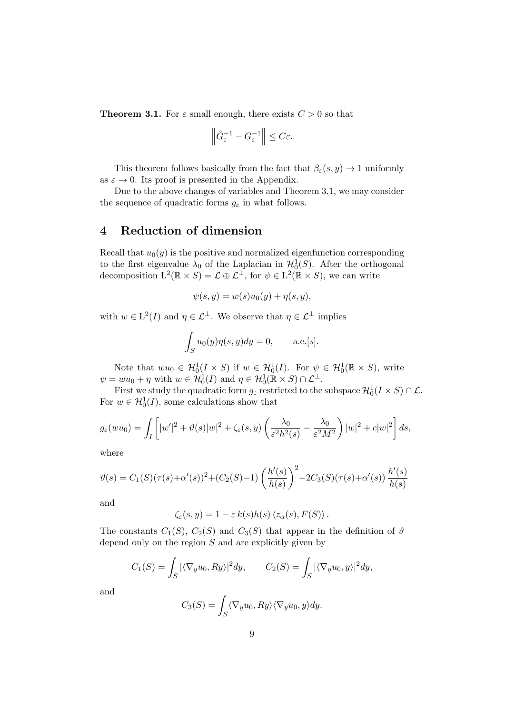**Theorem 3.1.** For  $\varepsilon$  small enough, there exists  $C > 0$  so that

$$
\left\|\hat{G}_{\varepsilon}^{-1} - G_{\varepsilon}^{-1}\right\| \leq C\varepsilon.
$$

This theorem follows basically from the fact that  $\beta_{\varepsilon}(s, y) \to 1$  uniformly as  $\varepsilon \to 0$ . Its proof is presented in the Appendix.

Due to the above changes of variables and Theorem 3.1, we may consider the sequence of quadratic forms  $g_{\varepsilon}$  in what follows.

## 4 Reduction of dimension

Recall that  $u_0(y)$  is the positive and normalized eigenfunction corresponding to the first eigenvalue  $\lambda_0$  of the Laplacian in  $\mathcal{H}_0^1(S)$ . After the orthogonal decomposition  $L^2(\mathbb{R} \times S) = \mathcal{L} \oplus \mathcal{L}^{\perp}$ , for  $\psi \in L^2(\mathbb{R} \times S)$ , we can write

$$
\psi(s, y) = w(s)u_0(y) + \eta(s, y),
$$

with  $w \in L^2(I)$  and  $\eta \in \mathcal{L}^{\perp}$ . We observe that  $\eta \in \mathcal{L}^{\perp}$  implies

$$
\int_{S} u_0(y)\eta(s, y)dy = 0, \quad \text{a.e.}[s].
$$

Note that  $wu_0 \in \mathcal{H}_0^1(I \times S)$  if  $w \in \mathcal{H}_0^1(I)$ . For  $\psi \in \mathcal{H}_0^1(\mathbb{R} \times S)$ , write  $\psi = w u_0 + \eta$  with  $w \in \mathcal{H}_0^1(I)$  and  $\eta \in \mathcal{H}_0^1(\mathbb{R} \times S) \cap \mathcal{L}^{\perp}$ .

First we study the quadratic form  $g_{\varepsilon}$  restricted to the subspace  $\mathcal{H}^1_0(I \times S) \cap \mathcal{L}$ . For  $w \in \mathcal{H}_0^1(I)$ , some calculations show that

$$
g_{\varepsilon}(wu_0) = \int_I \left[ |w'|^2 + \vartheta(s)|w|^2 + \zeta_{\varepsilon}(s,y) \left( \frac{\lambda_0}{\varepsilon^2 h^2(s)} - \frac{\lambda_0}{\varepsilon^2 M^2} \right) |w|^2 + c|w|^2 \right] ds,
$$

where

$$
\vartheta(s) = C_1(S)(\tau(s) + \alpha'(s))^2 + (C_2(S) - 1) \left(\frac{h'(s)}{h(s)}\right)^2 - 2C_3(S)(\tau(s) + \alpha'(s)) \frac{h'(s)}{h(s)}
$$

and

 $\zeta_{\varepsilon}(s, y) = 1 - \varepsilon k(s)h(s)\langle z_{\alpha}(s), F(S)\rangle.$ 

The constants  $C_1(S)$ ,  $C_2(S)$  and  $C_3(S)$  that appear in the definition of  $\vartheta$ depend only on the region  $S$  and are explicitly given by

$$
C_1(S) = \int_S |\langle \nabla_y u_0, Ry \rangle|^2 dy, \qquad C_2(S) = \int_S |\langle \nabla_y u_0, y \rangle|^2 dy,
$$

and

$$
C_3(S) = \int_S \langle \nabla_y u_0, Ry \rangle \langle \nabla_y u_0, y \rangle dy.
$$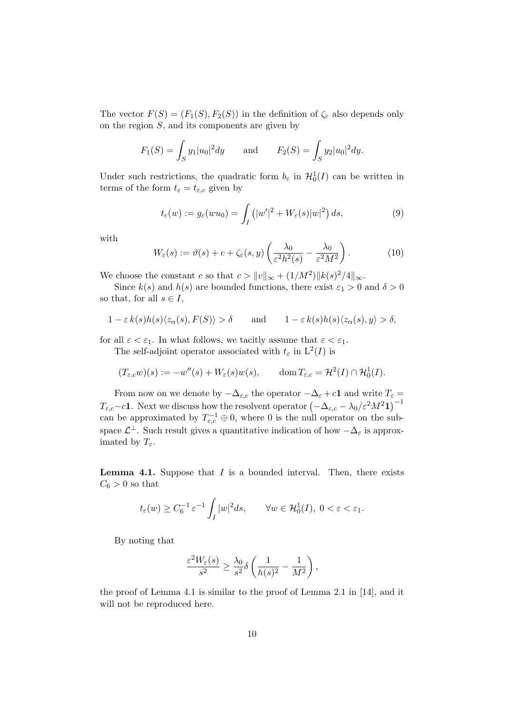The vector  $F(S) = (F_1(S), F_2(S))$  in the definition of  $\zeta_{\varepsilon}$  also depends only on the region  $S$ , and its components are given by

$$
F_1(S) = \int_S y_1 |u_0|^2 dy
$$
 and  $F_2(S) = \int_S y_2 |u_0|^2 dy$ .

Under such restrictions, the quadratic form  $b_{\varepsilon}$  in  $\mathcal{H}_0^1(I)$  can be written in terms of the form  $t_{\varepsilon} = t_{\varepsilon,c}$  given by

$$
t_{\varepsilon}(w) := g_{\varepsilon}(wu_0) = \int_{I} (|w'|^2 + W_{\varepsilon}(s)|w|^2) ds,
$$
\n(9)

with

$$
W_{\varepsilon}(s) := \vartheta(s) + c + \zeta_{\varepsilon}(s, y) \left( \frac{\lambda_0}{\varepsilon^2 h^2(s)} - \frac{\lambda_0}{\varepsilon^2 M^2} \right). \tag{10}
$$

We choose the constant c so that  $c > ||v||_{\infty} + (1/M^2) ||k(s)^2/4||_{\infty}$ .

Since  $k(s)$  and  $h(s)$  are bounded functions, there exist  $\varepsilon_1 > 0$  and  $\delta > 0$ so that, for all  $s \in I$ ,

$$
1 - \varepsilon k(s)h(s)\langle z_{\alpha}(s), F(S)\rangle > \delta \quad \text{and} \quad 1 - \varepsilon k(s)h(s)\langle z_{\alpha}(s), y\rangle > \delta,
$$

for all  $\varepsilon < \varepsilon_1$ . In what follows, we tacitly assume that  $\varepsilon < \varepsilon_1$ .

The self-adjoint operator associated with  $t_{\varepsilon}$  in  $L^2(I)$  is

$$
(T_{\varepsilon,c}w)(s) := -w''(s) + W_{\varepsilon}(s)w(s), \qquad \text{dom}\, T_{\varepsilon,c} = \mathcal{H}^2(I) \cap \mathcal{H}_0^1(I).
$$

From now on we denote by  $-\Delta_{\varepsilon,c}$  the operator  $-\Delta_{\varepsilon} + c\mathbf{1}$  and write  $T_{\varepsilon} =$  $T_{\varepsilon,c} - c\mathbf{1}$ . Next we discuss how the resolvent operator  $(-\Delta_{\varepsilon,c} - \lambda_0/\varepsilon^2 M^2 \mathbf{1})^{-1}$ can be approximated by  $T_{\varepsilon,c}^{-1} \oplus 0$ , where 0 is the null operator on the subspace  $\mathcal{L}^{\perp}$ . Such result gives a quantitative indication of how  $-\Delta_{\varepsilon}$  is approximated by  $T_{\varepsilon}$ .

**Lemma 4.1.** Suppose that  $I$  is a bounded interval. Then, there exists  $C_6 > 0$  so that

$$
t_{\varepsilon}(w) \ge C_6^{-1} \varepsilon^{-1} \int_I |w|^2 ds, \qquad \forall w \in \mathcal{H}_0^1(I), \ 0 < \varepsilon < \varepsilon_1.
$$

By noting that

$$
\frac{\varepsilon^2 W_{\varepsilon}(s)}{s^2} \ge \frac{\lambda_0}{s^2} \delta \left( \frac{1}{h(s)^2} - \frac{1}{M^2} \right),\,
$$

the proof of Lemma 4.1 is similar to the proof of Lemma 2.1 in [14], and it will not be reproduced here.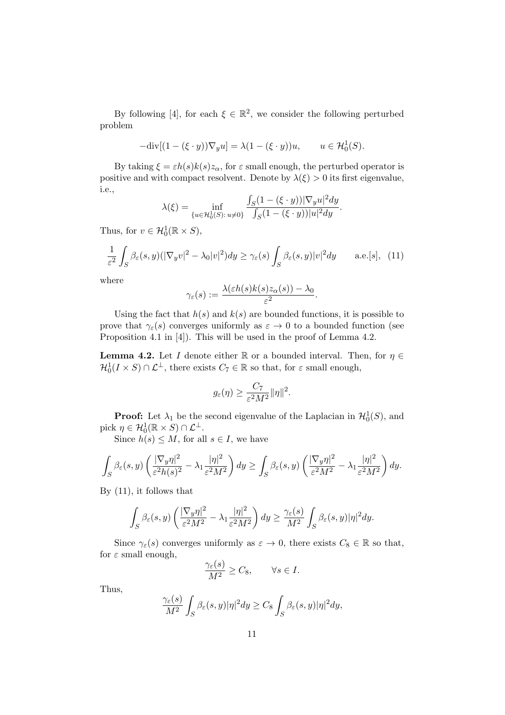By following [4], for each  $\xi \in \mathbb{R}^2$ , we consider the following perturbed problem

$$
-\mathrm{div}[(1-(\xi\cdot y))\nabla_y u]=\lambda(1-(\xi\cdot y))u, \qquad u\in\mathcal{H}_0^1(S).
$$

By taking  $\xi = \varepsilon h(s)k(s)z_\alpha$ , for  $\varepsilon$  small enough, the perturbed operator is positive and with compact resolvent. Denote by  $\lambda(\xi) > 0$  its first eigenvalue, i.e.,

$$
\lambda(\xi) = \inf_{\{u \in \mathcal{H}_0^1(S) : u \neq 0\}} \frac{\int_S (1 - (\xi \cdot y)) |\nabla_y u|^2 dy}{\int_S (1 - (\xi \cdot y)) |u|^2 dy}.
$$

Thus, for  $v \in \mathcal{H}_0^1(\mathbb{R} \times S)$ ,

$$
\frac{1}{\varepsilon^2} \int_S \beta_\varepsilon(s, y) (|\nabla_y v|^2 - \lambda_0 |v|^2) dy \ge \gamma_\varepsilon(s) \int_S \beta_\varepsilon(s, y) |v|^2 dy \qquad \text{a.e.}[s], \tag{11}
$$

where

$$
\gamma_{\varepsilon}(s) := \frac{\lambda(\varepsilon h(s)k(s)z_{\alpha}(s)) - \lambda_0}{\varepsilon^2}.
$$

Using the fact that  $h(s)$  and  $k(s)$  are bounded functions, it is possible to prove that  $\gamma_{\varepsilon}(s)$  converges uniformly as  $\varepsilon \to 0$  to a bounded function (see Proposition 4.1 in [4]). This will be used in the proof of Lemma 4.2.

**Lemma 4.2.** Let I denote either R or a bounded interval. Then, for  $\eta \in$  $\mathcal{H}_0^1(I \times S) \cap \mathcal{L}^\perp$ , there exists  $C_7 \in \mathbb{R}$  so that, for  $\varepsilon$  small enough,

$$
g_{\varepsilon}(\eta) \ge \frac{C_7}{\varepsilon^2 M^2} \|\eta\|^2.
$$

**Proof:** Let  $\lambda_1$  be the second eigenvalue of the Laplacian in  $\mathcal{H}_0^1(S)$ , and pick  $\eta \in \mathcal{H}_0^1(\mathbb{R} \times S) \cap \mathcal{L}^\perp$ .

Since  $h(s) \leq M$ , for all  $s \in I$ , we have

$$
\int_{S} \beta_{\varepsilon}(s,y) \left( \frac{|\nabla_y \eta|^2}{\varepsilon^2 h(s)^2} - \lambda_1 \frac{|\eta|^2}{\varepsilon^2 M^2} \right) dy \ge \int_{S} \beta_{\varepsilon}(s,y) \left( \frac{|\nabla_y \eta|^2}{\varepsilon^2 M^2} - \lambda_1 \frac{|\eta|^2}{\varepsilon^2 M^2} \right) dy.
$$

By (11), it follows that

$$
\int_{S} \beta_{\varepsilon}(s,y) \left( \frac{|\nabla_y \eta|^2}{\varepsilon^2 M^2} - \lambda_1 \frac{|\eta|^2}{\varepsilon^2 M^2} \right) dy \ge \frac{\gamma_{\varepsilon}(s)}{M^2} \int_{S} \beta_{\varepsilon}(s,y) |\eta|^2 dy.
$$

Since  $\gamma_{\varepsilon}(s)$  converges uniformly as  $\varepsilon \to 0$ , there exists  $C_8 \in \mathbb{R}$  so that, for  $\varepsilon$  small enough,

$$
\frac{\gamma_{\varepsilon}(s)}{M^2} \ge C_8, \qquad \forall s \in I.
$$

Thus,

$$
\frac{\gamma_{\varepsilon}(s)}{M^2} \int_{S} \beta_{\varepsilon}(s, y) |\eta|^2 dy \geq C_8 \int_{S} \beta_{\varepsilon}(s, y) |\eta|^2 dy,
$$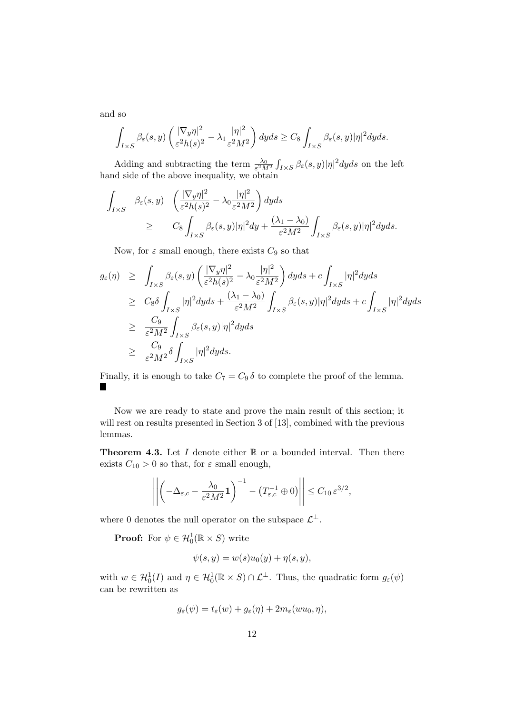and so

$$
\int_{I\times S} \beta_{\varepsilon}(s,y) \left(\frac{|\nabla_y \eta|^2}{\varepsilon^2 h(s)^2} - \lambda_1 \frac{|\eta|^2}{\varepsilon^2 M^2}\right) dyds \geq C_8 \int_{I\times S} \beta_{\varepsilon}(s,y) |\eta|^2 dyds.
$$

Adding and subtracting the term  $\frac{\lambda_0}{\varepsilon^2 M^2} \int_{I \times S} \beta_{\varepsilon}(s, y) |\eta|^2 dy ds$  on the left hand side of the above inequality, we obtain

$$
\int_{I\times S} \beta_{\varepsilon}(s,y) \quad \left(\frac{|\nabla_y \eta|^2}{\varepsilon^2 h(s)^2} - \lambda_0 \frac{|\eta|^2}{\varepsilon^2 M^2}\right) dyds
$$
\n
$$
\geq C_8 \int_{I\times S} \beta_{\varepsilon}(s,y) |\eta|^2 dy + \frac{(\lambda_1 - \lambda_0)}{\varepsilon^2 M^2} \int_{I\times S} \beta_{\varepsilon}(s,y) |\eta|^2 dyds.
$$

Now, for  $\varepsilon$  small enough, there exists  $C_9$  so that

$$
g_{\varepsilon}(\eta) \geq \int_{I\times S} \beta_{\varepsilon}(s,y) \left(\frac{|\nabla_y \eta|^2}{\varepsilon^2 h(s)^2} - \lambda_0 \frac{|\eta|^2}{\varepsilon^2 M^2}\right) dyds + c \int_{I\times S} |\eta|^2 dyds
$$
  
\n
$$
\geq C_8 \delta \int_{I\times S} |\eta|^2 dyds + \frac{(\lambda_1 - \lambda_0)}{\varepsilon^2 M^2} \int_{I\times S} \beta_{\varepsilon}(s,y) |\eta|^2 dyds + c \int_{I\times S} |\eta|^2 dyds
$$
  
\n
$$
\geq \frac{C_9}{\varepsilon^2 M^2} \int_{I\times S} \beta_{\varepsilon}(s,y) |\eta|^2 dyds
$$
  
\n
$$
\geq \frac{C_9}{\varepsilon^2 M^2} \delta \int_{I\times S} |\eta|^2 dyds.
$$

Finally, it is enough to take  $C_7 = C_9 \delta$  to complete the proof of the lemma. П

Now we are ready to state and prove the main result of this section; it will rest on results presented in Section 3 of [13], combined with the previous lemmas.

**Theorem 4.3.** Let  $I$  denote either  $\mathbb R$  or a bounded interval. Then there exists  $C_{10} > 0$  so that, for  $\varepsilon$  small enough,

$$
\left\| \left( -\Delta_{\varepsilon,c} - \frac{\lambda_0}{\varepsilon^2 M^2} \mathbf{1} \right)^{-1} - \left( T_{\varepsilon,c}^{-1} \oplus 0 \right) \right\| \leq C_{10} \, \varepsilon^{3/2},
$$

where 0 denotes the null operator on the subspace  $\mathcal{L}^{\perp}$ .

**Proof:** For  $\psi \in \mathcal{H}_0^1(\mathbb{R} \times S)$  write

$$
\psi(s,y) = w(s)u_0(y) + \eta(s,y),
$$

with  $w \in \mathcal{H}_0^1(I)$  and  $\eta \in \mathcal{H}_0^1(\mathbb{R} \times S) \cap \mathcal{L}^{\perp}$ . Thus, the quadratic form  $g_{\varepsilon}(\psi)$ can be rewritten as

$$
g_{\varepsilon}(\psi) = t_{\varepsilon}(w) + g_{\varepsilon}(\eta) + 2m_{\varepsilon}(wu_0, \eta),
$$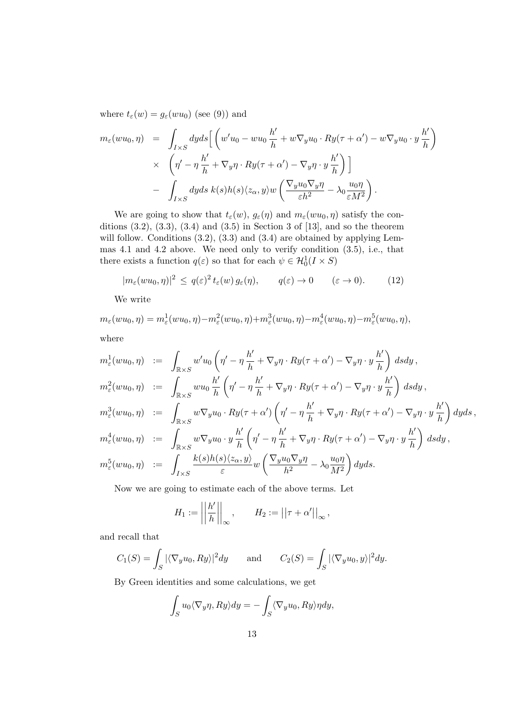where  $t_{\varepsilon}(w) = g_{\varepsilon}(wu_0)$  (see (9)) and

$$
m_{\varepsilon}(wu_0, \eta) = \int_{I \times S} dy ds \left[ \left( w'u_0 - wu_0 \frac{h'}{h} + w\nabla_y u_0 \cdot Ry(\tau + \alpha') - w\nabla_y u_0 \cdot y \frac{h'}{h} \right) \times \left( \eta' - \eta \frac{h'}{h} + \nabla_y \eta \cdot Ry(\tau + \alpha') - \nabla_y \eta \cdot y \frac{h'}{h} \right) \right] - \int_{I \times S} dy ds \ k(s)h(s) \langle z_{\alpha}, y \rangle w \left( \frac{\nabla_y u_0 \nabla_y \eta}{\varepsilon h^2} - \lambda_0 \frac{u_0 \eta}{\varepsilon M^2} \right).
$$

We are going to show that  $t_{\varepsilon}(w)$ ,  $g_{\varepsilon}(\eta)$  and  $m_{\varepsilon}(wu_0, \eta)$  satisfy the conditions  $(3.2)$ ,  $(3.3)$ ,  $(3.4)$  and  $(3.5)$  in Section 3 of [13], and so the theorem will follow. Conditions  $(3.2)$ ,  $(3.3)$  and  $(3.4)$  are obtained by applying Lemmas 4.1 and 4.2 above. We need only to verify condition (3.5), i.e., that there exists a function  $q(\varepsilon)$  so that for each  $\psi \in \mathcal{H}_0^1(I \times S)$ 

$$
|m_{\varepsilon}(wu_0, \eta)|^2 \le q(\varepsilon)^2 t_{\varepsilon}(w) g_{\varepsilon}(\eta), \qquad q(\varepsilon) \to 0 \qquad (\varepsilon \to 0). \tag{12}
$$

We write

 $m_{\varepsilon}(wu_0, \eta) = m_{\varepsilon}^1(wu_0, \eta) - m_{\varepsilon}^2(wu_0, \eta) + m_{\varepsilon}^3(wu_0, \eta) - m_{\varepsilon}^4(wu_0, \eta) - m_{\varepsilon}^5(wu_0, \eta),$ where

$$
m_{\varepsilon}^{1}(wu_{0},\eta) := \int_{\mathbb{R}\times S} w'u_{0}\left(\eta'-\eta\frac{h'}{h}+\nabla_{y}\eta\cdot Ry(\tau+\alpha')-\nabla_{y}\eta\cdot y\frac{h'}{h}\right) ds dy ,
$$
  
\n
$$
m_{\varepsilon}^{2}(wu_{0},\eta) := \int_{\mathbb{R}\times S} wu_{0}\frac{h'}{h}\left(\eta'-\eta\frac{h'}{h}+\nabla_{y}\eta\cdot Ry(\tau+\alpha')-\nabla_{y}\eta\cdot y\frac{h'}{h}\right) ds dy ,
$$
  
\n
$$
m_{\varepsilon}^{3}(wu_{0},\eta) := \int_{\mathbb{R}\times S} w\nabla_{y}u_{0}\cdot Ry(\tau+\alpha')\left(\eta'-\eta\frac{h'}{h}+\nabla_{y}\eta\cdot Ry(\tau+\alpha')-\nabla_{y}\eta\cdot y\frac{h'}{h}\right) dy ds ,
$$
  
\n
$$
m_{\varepsilon}^{4}(wu_{0},\eta) := \int_{\mathbb{R}\times S} w\nabla_{y}u_{0}\cdot y\frac{h'}{h}\left(\eta'-\eta\frac{h'}{h}+\nabla_{y}\eta\cdot Ry(\tau+\alpha')-\nabla_{y}\eta\cdot y\frac{h'}{h}\right) ds dy ,
$$
  
\n
$$
m_{\varepsilon}^{5}(wu_{0},\eta) := \int_{I\times S} \frac{k(s)h(s)\langle z_{\alpha},y\rangle}{\varepsilon} w\left(\frac{\nabla_{y}u_{0}\nabla_{y}\eta}{h^{2}}-\lambda_{0}\frac{u_{0}\eta}{M^{2}}\right) dy ds.
$$

Now we are going to estimate each of the above terms. Let

$$
H_1 := \left\| \frac{h'}{h} \right\|_{\infty}, \qquad H_2 := \left\| \tau + \alpha' \right\|_{\infty},
$$

and recall that

$$
C_1(S) = \int_S |\langle \nabla_y u_0, Ry \rangle|^2 dy \quad \text{and} \quad C_2(S) = \int_S |\langle \nabla_y u_0, y \rangle|^2 dy.
$$

By Green identities and some calculations, we get

$$
\int_{S} u_0 \langle \nabla_y \eta, Ry \rangle dy = - \int_{S} \langle \nabla_y u_0, Ry \rangle \eta dy,
$$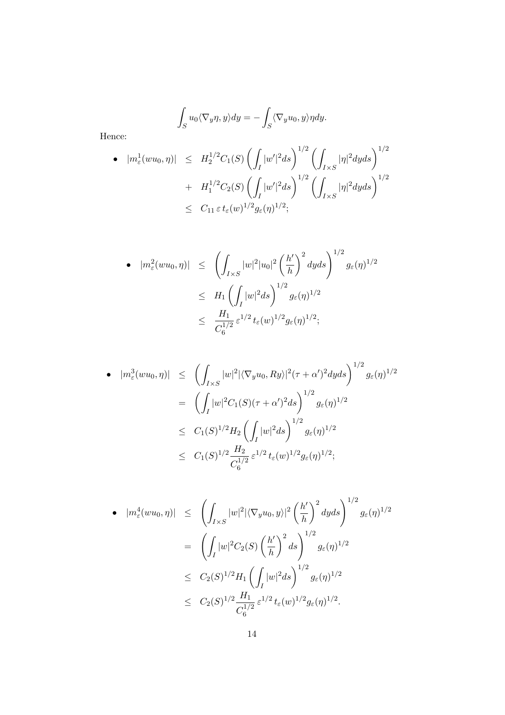$$
\int_{S} u_0 \langle \nabla_y \eta, y \rangle dy = - \int_{S} \langle \nabla_y u_0, y \rangle \eta dy.
$$

Hence:

• 
$$
|m_{\varepsilon}^{1}(wu_{0}, \eta)| \leq H_{2}^{1/2}C_{1}(S) \left( \int_{I} |w'|^{2} ds \right)^{1/2} \left( \int_{I \times S} |\eta|^{2} dy ds \right)^{1/2} + H_{1}^{1/2}C_{2}(S) \left( \int_{I} |w'|^{2} ds \right)^{1/2} \left( \int_{I \times S} |\eta|^{2} dy ds \right)^{1/2} \leq C_{11} \varepsilon t_{\varepsilon}(w)^{1/2} g_{\varepsilon}(\eta)^{1/2};
$$

$$
\bullet \quad |m_{\varepsilon}^{2}(wu_{0},\eta)| \leq \quad \left(\int_{I\times S}|w|^{2}|u_{0}|^{2}\left(\frac{h'}{h}\right)^{2}dyds\right)^{1/2}g_{\varepsilon}(\eta)^{1/2} \n\leq H_{1}\left(\int_{I}|w|^{2}ds\right)^{1/2}g_{\varepsilon}(\eta)^{1/2} \n\leq \quad \frac{H_{1}}{C_{6}^{1/2}}\,\varepsilon^{1/2}t_{\varepsilon}(w)^{1/2}g_{\varepsilon}(\eta)^{1/2};
$$

• 
$$
|m_{\varepsilon}^{3}(wu_{0}, \eta)| \leq \left(\int_{I\times S} |w|^{2} |\langle \nabla_{y} u_{0}, Ry \rangle|^{2} (\tau + \alpha')^{2} dy ds\right)^{1/2} g_{\varepsilon}(\eta)^{1/2}
$$
  
\n
$$
= \left(\int_{I} |w|^{2} C_{1}(S)(\tau + \alpha')^{2} ds\right)^{1/2} g_{\varepsilon}(\eta)^{1/2}
$$
  
\n
$$
\leq C_{1}(S)^{1/2} H_{2} \left(\int_{I} |w|^{2} ds\right)^{1/2} g_{\varepsilon}(\eta)^{1/2}
$$
  
\n
$$
\leq C_{1}(S)^{1/2} \frac{H_{2}}{C_{6}^{1/2}} \varepsilon^{1/2} t_{\varepsilon}(w)^{1/2} g_{\varepsilon}(\eta)^{1/2};
$$

• 
$$
|m_{\varepsilon}^{4}(wu_{0}, \eta)| \leq \left(\int_{I\times S} |w|^{2} |\langle \nabla_{y} u_{0}, y \rangle|^{2} \left(\frac{h'}{h}\right)^{2} dy ds\right)^{1/2} g_{\varepsilon}(\eta)^{1/2}
$$
  
\n
$$
= \left(\int_{I} |w|^{2} C_{2}(S) \left(\frac{h'}{h}\right)^{2} ds\right)^{1/2} g_{\varepsilon}(\eta)^{1/2}
$$
  
\n
$$
\leq C_{2}(S)^{1/2} H_{1} \left(\int_{I} |w|^{2} ds\right)^{1/2} g_{\varepsilon}(\eta)^{1/2}
$$
  
\n
$$
\leq C_{2}(S)^{1/2} \frac{H_{1}}{C_{6}^{1/2}} \varepsilon^{1/2} t_{\varepsilon}(w)^{1/2} g_{\varepsilon}(\eta)^{1/2}.
$$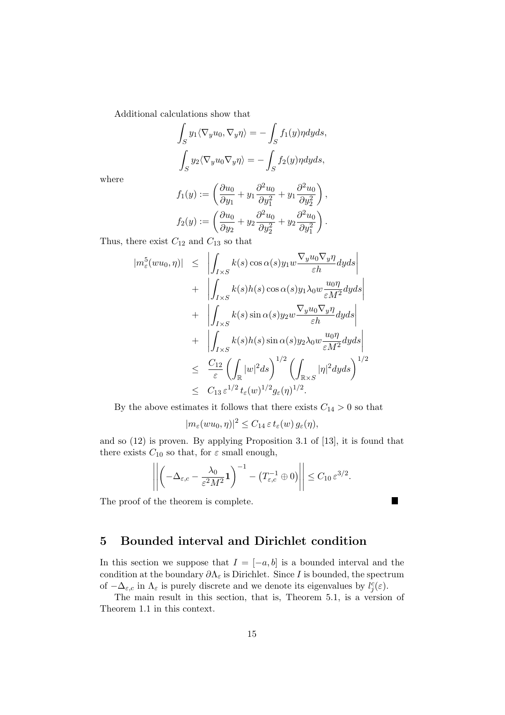Additional calculations show that

$$
\int_{S} y_1 \langle \nabla_y u_0, \nabla_y \eta \rangle = -\int_{S} f_1(y) \eta dy ds,
$$

$$
\int_{S} y_2 \langle \nabla_y u_0 \nabla_y \eta \rangle = -\int_{S} f_2(y) \eta dy ds,
$$

where

$$
f_1(y) := \left(\frac{\partial u_0}{\partial y_1} + y_1 \frac{\partial^2 u_0}{\partial y_1^2} + y_1 \frac{\partial^2 u_0}{\partial y_2^2}\right),
$$
  

$$
f_2(y) := \left(\frac{\partial u_0}{\partial y_2} + y_2 \frac{\partial^2 u_0}{\partial y_2^2} + y_2 \frac{\partial^2 u_0}{\partial y_1^2}\right).
$$

Thus, there exist  $C_{12}$  and  $C_{13}$  so that

$$
|m_{\varepsilon}^{5}(wu_{0},\eta)| \leq \left| \int_{I\times S} k(s)\cos \alpha(s)y_{1}w \frac{\nabla_{y}u_{0}\nabla_{y}\eta}{\varepsilon h}dyds \right|
$$
  
+ 
$$
\left| \int_{I\times S} k(s)h(s)\cos \alpha(s)y_{1}\lambda_{0}w \frac{u_{0}\eta}{\varepsilon M^{2}}dyds \right|
$$
  
+ 
$$
\left| \int_{I\times S} k(s)\sin \alpha(s)y_{2}w \frac{\nabla_{y}u_{0}\nabla_{y}\eta}{\varepsilon h}dyds \right|
$$
  
+ 
$$
\left| \int_{I\times S} k(s)h(s)\sin \alpha(s)y_{2}\lambda_{0}w \frac{u_{0}\eta}{\varepsilon M^{2}}dyds \right|
$$
  

$$
\leq \frac{C_{12}}{\varepsilon} \left( \int_{\mathbb{R}} |w|^{2}ds \right)^{1/2} \left( \int_{\mathbb{R}\times S} |\eta|^{2}dyds \right)^{1/2}
$$
  

$$
\leq C_{13} \varepsilon^{1/2} t_{\varepsilon}(w)^{1/2} g_{\varepsilon}(\eta)^{1/2}.
$$

By the above estimates it follows that there exists  $C_{14} > 0$  so that

$$
|m_{\varepsilon}(wu_0, \eta)|^2 \leq C_{14} \, \varepsilon \, t_{\varepsilon}(w) \, g_{\varepsilon}(\eta),
$$

and so (12) is proven. By applying Proposition 3.1 of [13], it is found that there exists  $C_{10}$  so that, for  $\varepsilon$  small enough,

$$
\left\| \left( -\Delta_{\varepsilon,c} - \frac{\lambda_0}{\varepsilon^2 M^2} \mathbf{1} \right)^{-1} - \left( T_{\varepsilon,c}^{-1} \oplus 0 \right) \right\| \leq C_{10} \, \varepsilon^{3/2}.
$$

 $\blacksquare$ 

The proof of the theorem is complete.

## 5 Bounded interval and Dirichlet condition

In this section we suppose that  $I = [-a, b]$  is a bounded interval and the condition at the boundary  $\partial \Lambda_{\varepsilon}$  is Dirichlet. Since I is bounded, the spectrum of  $-\Delta_{\varepsilon,c}$  in  $\Lambda_{\varepsilon}$  is purely discrete and we denote its eigenvalues by  $l_j^c(\varepsilon)$ .

The main result in this section, that is, Theorem 5.1, is a version of Theorem 1.1 in this context.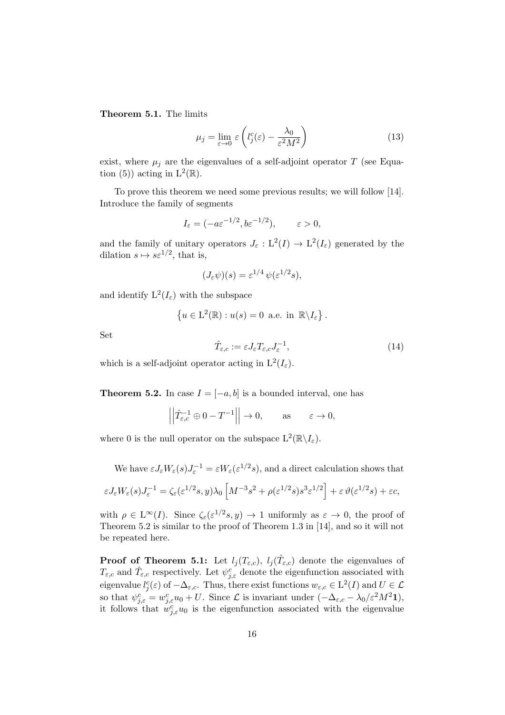Theorem 5.1. The limits

$$
\mu_j = \lim_{\varepsilon \to 0} \varepsilon \left( l_j^c(\varepsilon) - \frac{\lambda_0}{\varepsilon^2 M^2} \right) \tag{13}
$$

exist, where  $\mu_j$  are the eigenvalues of a self-adjoint operator T (see Equation (5)) acting in  $L^2(\mathbb{R})$ .

To prove this theorem we need some previous results; we will follow [14]. Introduce the family of segments

$$
I_{\varepsilon} = (-a\varepsilon^{-1/2}, b\varepsilon^{-1/2}), \qquad \varepsilon > 0,
$$

and the family of unitary operators  $J_{\varepsilon}: L^2(I) \to L^2(I_{\varepsilon})$  generated by the dilation  $s \mapsto s\varepsilon^{1/2}$ , that is,

$$
(J_{\varepsilon}\psi)(s) = \varepsilon^{1/4} \psi(\varepsilon^{1/2}s),
$$

and identify  $L^2(I_\varepsilon)$  with the subspace

$$
\{u \in \mathcal{L}^2(\mathbb{R}) : u(s) = 0 \text{ a.e. in } \mathbb{R} \backslash I_{\varepsilon} \}.
$$

Set

$$
\hat{T}_{\varepsilon,c} := \varepsilon J_{\varepsilon} T_{\varepsilon,c} J_{\varepsilon}^{-1},\tag{14}
$$

which is a self-adjoint operator acting in  $L^2(I_\varepsilon)$ .

**Theorem 5.2.** In case  $I = [-a, b]$  is a bounded interval, one has

$$
\left\| \hat{T}_{\varepsilon,c}^{-1} \oplus 0 - T^{-1} \right\| \to 0, \quad \text{as} \quad \varepsilon \to 0,
$$

where 0 is the null operator on the subspace  $L^2(\mathbb{R}\setminus I_{\varepsilon})$ .

We have  $\varepsilon J_{\varepsilon}W_{\varepsilon}(s)J_{\varepsilon}^{-1} = \varepsilon W_{\varepsilon}(\varepsilon^{1/2}s)$ , and a direct calculation shows that

$$
\varepsilon J_{\varepsilon} W_{\varepsilon}(s) J_{\varepsilon}^{-1} = \zeta_{\varepsilon}(\varepsilon^{1/2} s, y) \lambda_0 \left[ M^{-3} s^2 + \rho(\varepsilon^{1/2} s) s^3 \varepsilon^{1/2} \right] + \varepsilon \vartheta(\varepsilon^{1/2} s) + \varepsilon c,
$$

with  $\rho \in L^{\infty}(I)$ . Since  $\zeta_{\varepsilon}(\varepsilon^{1/2}s, y) \to 1$  uniformly as  $\varepsilon \to 0$ , the proof of Theorem 5.2 is similar to the proof of Theorem 1.3 in [14], and so it will not be repeated here.

**Proof of Theorem 5.1:** Let  $l_j(T_{\varepsilon,c})$ ,  $l_j(\hat{T}_{\varepsilon,c})$  denote the eigenvalues of  $T_{\varepsilon,c}$  and  $\hat{T}_{\varepsilon,c}$  respectively. Let  $\psi_{j,\varepsilon}^c$  denote the eigenfunction associated with eigenvalue  $l_j^c(\varepsilon)$  of  $-\Delta_{\varepsilon,c}$ . Thus, there exist functions  $w_{\varepsilon,c} \in L^2(I)$  and  $U \in \mathcal{L}$ so that  $\psi_{j,\varepsilon}^c = w_{j,\varepsilon}^c u_0 + U$ . Since  $\mathcal L$  is invariant under  $(-\Delta_{\varepsilon,c} - \lambda_0/\varepsilon^2 M^2 \mathbf{1}),$ it follows that  $w_{j,\varepsilon}^c u_0$  is the eigenfunction associated with the eigenvalue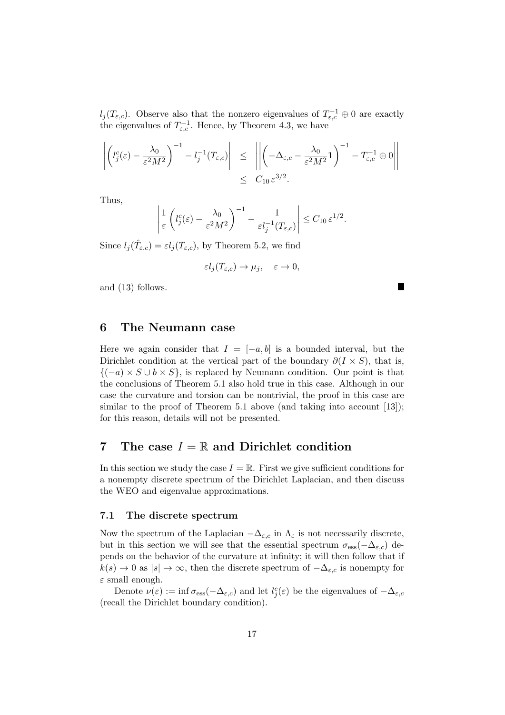$l_j(T_{\varepsilon,c})$ . Observe also that the nonzero eigenvalues of  $T_{\varepsilon,c}^{-1} \oplus 0$  are exactly the eigenvalues of  $T_{\varepsilon,c}^{-1}$ . Hence, by Theorem 4.3, we have

$$
\left| \left( l_j^c(\varepsilon) - \frac{\lambda_0}{\varepsilon^2 M^2} \right)^{-1} - l_j^{-1}(T_{\varepsilon,c}) \right| \leq \left| \left| \left( -\Delta_{\varepsilon,c} - \frac{\lambda_0}{\varepsilon^2 M^2} \mathbf{1} \right)^{-1} - T_{\varepsilon,c}^{-1} \oplus 0 \right| \right|
$$
  

$$
\leq C_{10} \varepsilon^{3/2}.
$$

Thus,

$$
\left|\frac{1}{\varepsilon}\left(l_j^c(\varepsilon)-\frac{\lambda_0}{\varepsilon^2M^2}\right)^{-1}-\frac{1}{\varepsilon l_j^{-1}(T_{\varepsilon,c})}\right|\leq C_{10}\,\varepsilon^{1/2}.
$$

Since  $l_j(\hat{T}_{\varepsilon,c}) = \varepsilon l_j(T_{\varepsilon,c})$ , by Theorem 5.2, we find

$$
\varepsilon l_j(T_{\varepsilon,c}) \to \mu_j, \quad \varepsilon \to 0,
$$

and (13) follows.

## 6 The Neumann case

Here we again consider that  $I = [-a, b]$  is a bounded interval, but the Dirichlet condition at the vertical part of the boundary  $\partial(I \times S)$ , that is,  ${(-a) \times S \cup b \times S}$ , is replaced by Neumann condition. Our point is that the conclusions of Theorem 5.1 also hold true in this case. Although in our case the curvature and torsion can be nontrivial, the proof in this case are similar to the proof of Theorem 5.1 above (and taking into account  $[13]$ ); for this reason, details will not be presented.

# 7 The case  $I = \mathbb{R}$  and Dirichlet condition

In this section we study the case  $I = \mathbb{R}$ . First we give sufficient conditions for a nonempty discrete spectrum of the Dirichlet Laplacian, and then discuss the WEO and eigenvalue approximations.

#### 7.1 The discrete spectrum

Now the spectrum of the Laplacian  $-\Delta_{\varepsilon,c}$  in  $\Lambda_{\varepsilon}$  is not necessarily discrete, but in this section we will see that the essential spectrum  $\sigma_{\text{ess}}(-\Delta_{\varepsilon,c})$  depends on the behavior of the curvature at infinity; it will then follow that if  $k(s) \to 0$  as  $|s| \to \infty$ , then the discrete spectrum of  $-\Delta_{\varepsilon,c}$  is nonempty for  $\varepsilon$  small enough.

Denote  $\nu(\varepsilon) := \inf \sigma_{\text{ess}}(-\Delta_{\varepsilon,c})$  and let  $l_j^c(\varepsilon)$  be the eigenvalues of  $-\Delta_{\varepsilon,c}$ (recall the Dirichlet boundary condition).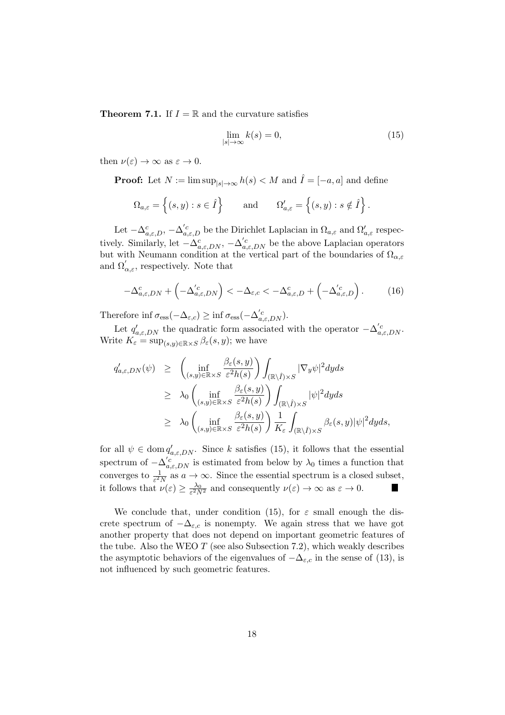**Theorem 7.1.** If  $I = \mathbb{R}$  and the curvature satisfies

$$
\lim_{|s| \to \infty} k(s) = 0,\tag{15}
$$

then  $\nu(\varepsilon) \to \infty$  as  $\varepsilon \to 0$ .

**Proof:** Let  $N := \limsup_{|s| \to \infty} h(s) < M$  and  $\hat{I} = [-a, a]$  and define

$$
\Omega_{a,\varepsilon} = \left\{ (s,y) : s \in \hat{I} \right\} \quad \text{and} \quad \Omega'_{a,\varepsilon} = \left\{ (s,y) : s \notin \hat{I} \right\}.
$$

Let  $-\Delta_{a,\varepsilon,D}^c$ ,  $-\Delta_{a,\varepsilon,D}^{'c}$  be the Dirichlet Laplacian in  $\Omega_{a,\varepsilon}$  and  $\Omega_{a,\varepsilon}'$  respectively. Similarly, let  $-\Delta_{a,\varepsilon,DN}^c$ ,  $-\Delta_{a,\varepsilon,DN}^{'c}$  be the above Laplacian operators but with Neumann condition at the vertical part of the boundaries of  $\Omega_{\alpha,\varepsilon}$ and  $\Omega'_{\alpha,\varepsilon}$ , respectively. Note that

$$
-\Delta_{a,\varepsilon,DN}^c + \left(-\Delta_{a,\varepsilon,DN}^{'c}\right) < -\Delta_{\varepsilon,c} < -\Delta_{a,\varepsilon,D}^c + \left(-\Delta_{a,\varepsilon,D}^{'c}\right). \tag{16}
$$

Therefore inf  $\sigma_{\text{ess}}(-\Delta_{\varepsilon,c}) \geq \inf \sigma_{\text{ess}}(-\Delta'_{a,\varepsilon,DN}).$ 

Let  $q'_{a,\varepsilon,DN}$  the quadratic form associated with the operator  $-\Delta'_{a,\varepsilon,DN}$ . Write  $K_{\varepsilon} = \sup_{(s,y)\in\mathbb{R}\times S} \beta_{\varepsilon}(s,y)$ ; we have

$$
q'_{a,\varepsilon, DN}(\psi) \geq \left( \inf_{(s,y)\in\mathbb{R}\times S} \frac{\beta_{\varepsilon}(s,y)}{\varepsilon^2 h(s)} \right) \int_{(\mathbb{R}\setminus\hat{I})\times S} |\nabla_y \psi|^2 dy ds
$$
  
\n
$$
\geq \lambda_0 \left( \inf_{(s,y)\in\mathbb{R}\times S} \frac{\beta_{\varepsilon}(s,y)}{\varepsilon^2 h(s)} \right) \int_{(\mathbb{R}\setminus\hat{I})\times S} |\psi|^2 dy ds
$$
  
\n
$$
\geq \lambda_0 \left( \inf_{(s,y)\in\mathbb{R}\times S} \frac{\beta_{\varepsilon}(s,y)}{\varepsilon^2 h(s)} \right) \frac{1}{K_{\varepsilon}} \int_{(\mathbb{R}\setminus\hat{I})\times S} \beta_{\varepsilon}(s,y) |\psi|^2 dy ds,
$$

for all  $\psi \in \text{dom } q'_{a,\varepsilon, DN}$ . Since k satisfies (15), it follows that the essential spectrum of  $-\Delta'_{a,\varepsilon,DN}$  is estimated from below by  $\lambda_0$  times a function that converges to  $\frac{1}{\varepsilon^2 N}$  as  $a \to \infty$ . Since the essential spectrum is a closed subset, it follows that  $\nu(\varepsilon) \geq \frac{\lambda_0}{\varepsilon^2 N^2}$  and consequently  $\nu(\varepsilon) \to \infty$  as  $\varepsilon \to 0$ .  $\blacksquare$ 

We conclude that, under condition (15), for  $\varepsilon$  small enough the discrete spectrum of  $-\Delta_{\varepsilon,c}$  is nonempty. We again stress that we have got another property that does not depend on important geometric features of the tube. Also the WEO  $T$  (see also Subsection 7.2), which weakly describes the asymptotic behaviors of the eigenvalues of  $-\Delta_{\varepsilon,c}$  in the sense of (13), is not influenced by such geometric features.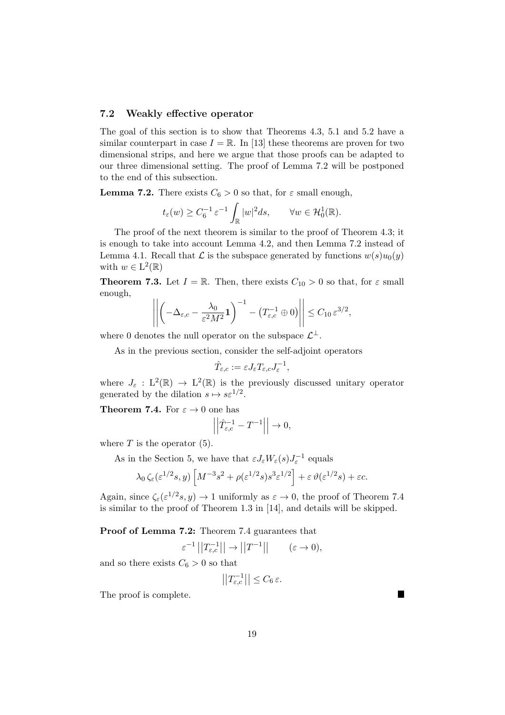#### 7.2 Weakly effective operator

The goal of this section is to show that Theorems 4.3, 5.1 and 5.2 have a similar counterpart in case  $I = \mathbb{R}$ . In [13] these theorems are proven for two dimensional strips, and here we argue that those proofs can be adapted to our three dimensional setting. The proof of Lemma 7.2 will be postponed to the end of this subsection.

**Lemma 7.2.** There exists  $C_6 > 0$  so that, for  $\varepsilon$  small enough,

$$
t_{\varepsilon}(w) \ge C_6^{-1} \varepsilon^{-1} \int_{\mathbb{R}} |w|^2 ds, \qquad \forall w \in \mathcal{H}_0^1(\mathbb{R}).
$$

The proof of the next theorem is similar to the proof of Theorem 4.3; it is enough to take into account Lemma 4.2, and then Lemma 7.2 instead of Lemma 4.1. Recall that  $\mathcal L$  is the subspace generated by functions  $w(s)u_0(y)$ with  $w \in L^2(\mathbb{R})$ 

**Theorem 7.3.** Let  $I = \mathbb{R}$ . Then, there exists  $C_{10} > 0$  so that, for  $\varepsilon$  small enough,

$$
\left\| \left( -\Delta_{\varepsilon,c} - \frac{\lambda_0}{\varepsilon^2 M^2} \mathbf{1} \right)^{-1} - \left( T_{\varepsilon,c}^{-1} \oplus 0 \right) \right\| \leq C_{10} \, \varepsilon^{3/2},
$$

where 0 denotes the null operator on the subspace  $\mathcal{L}^{\perp}$ .

As in the previous section, consider the self-adjoint operators

$$
\hat{T}_{\varepsilon,c} := \varepsilon J_{\varepsilon} T_{\varepsilon,c} J_{\varepsilon}^{-1},
$$

where  $J_{\varepsilon}: L^2(\mathbb{R}) \to L^2(\mathbb{R})$  is the previously discussed unitary operator generated by the dilation  $s \mapsto s\varepsilon^{1/2}$ .

**Theorem 7.4.** For  $\varepsilon \to 0$  one has

$$
\left|\hat{T}_{\varepsilon,c}^{-1} - T^{-1}\right| \to 0,
$$

where  $T$  is the operator  $(5)$ .

As in the Section 5, we have that  $\varepsilon J_{\varepsilon} W_{\varepsilon}(s) J_{\varepsilon}^{-1}$  equals

 $\overline{\phantom{a}}$  $\overline{\phantom{a}}$  $\overline{1}$ 

$$
\lambda_0 \zeta_{\varepsilon}(\varepsilon^{1/2} s, y) \left[ M^{-3} s^2 + \rho(\varepsilon^{1/2} s) s^3 \varepsilon^{1/2} \right] + \varepsilon \vartheta(\varepsilon^{1/2} s) + \varepsilon c.
$$

Again, since  $\zeta_{\varepsilon}(\varepsilon^{1/2}s, y) \to 1$  uniformly as  $\varepsilon \to 0$ , the proof of Theorem 7.4 is similar to the proof of Theorem 1.3 in [14], and details will be skipped.

Proof of Lemma 7.2: Theorem 7.4 guarantees that

$$
\varepsilon^{-1}||T_{\varepsilon,c}^{-1}|| \to ||T^{-1}|| \qquad (\varepsilon \to 0),
$$

and so there exists  $C_6 > 0$  so that

$$
\left| \left| T_{\varepsilon,c}^{-1} \right| \right| \leq C_6 \, \varepsilon.
$$

The proof is complete.

L.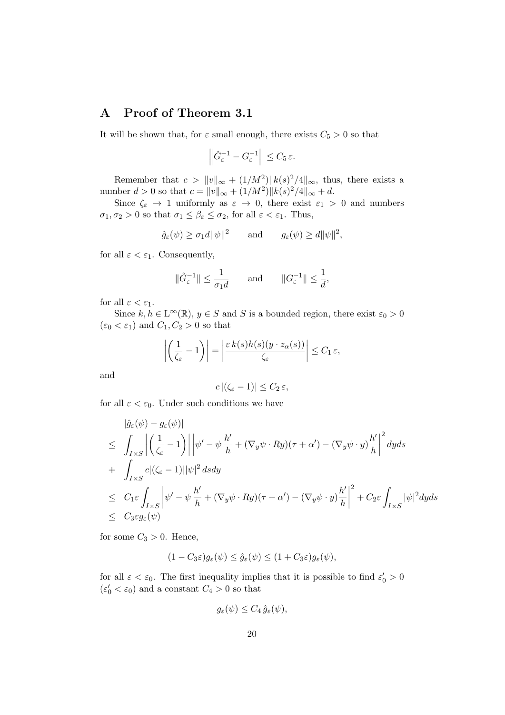# A Proof of Theorem 3.1

It will be shown that, for  $\varepsilon$  small enough, there exists  $C_5 > 0$  so that

$$
\left\|\hat{G}_{\varepsilon}^{-1} - G_{\varepsilon}^{-1}\right\| \leq C_5 \,\varepsilon.
$$

Remember that  $c > ||v||_{\infty} + (1/M^2) ||k(s)^2/4||_{\infty}$ , thus, there exists a number  $d > 0$  so that  $c = ||v||_{\infty} + (1/M^2) ||k(s)^2/4||_{\infty} + d$ .

Since  $\zeta_{\varepsilon} \to 1$  uniformly as  $\varepsilon \to 0$ , there exist  $\varepsilon_1 > 0$  and numbers  $\sigma_1, \sigma_2 > 0$  so that  $\sigma_1 \leq \beta_{\varepsilon} \leq \sigma_2$ , for all  $\varepsilon < \varepsilon_1$ . Thus,

$$
\hat{g}_{\varepsilon}(\psi) \ge \sigma_1 d \|\psi\|^2
$$
 and  $g_{\varepsilon}(\psi) \ge d \|\psi\|^2$ ,

for all  $\varepsilon < \varepsilon_1$ . Consequently,

$$
\|\hat{G}^{-1}_{\varepsilon}\| \le \frac{1}{\sigma_1 d} \quad \text{and} \quad \|G^{-1}_{\varepsilon}\| \le \frac{1}{d},
$$

for all  $\varepsilon < \varepsilon_1$ .

Since  $k, h \in L^{\infty}(\mathbb{R})$ ,  $y \in S$  and S is a bounded region, there exist  $\varepsilon_0 > 0$  $(\varepsilon_0 < \varepsilon_1)$  and  $C_1, C_2 > 0$  so that

$$
\left| \left( \frac{1}{\zeta_{\varepsilon}} - 1 \right) \right| = \left| \frac{\varepsilon k(s)h(s)(y \cdot z_{\alpha}(s))}{\zeta_{\varepsilon}} \right| \leq C_1 \, \varepsilon,
$$

and

$$
c |(\zeta_{\varepsilon} - 1)| \le C_2 \varepsilon,
$$

for all  $\varepsilon < \varepsilon_0$ . Under such conditions we have

$$
\begin{split}\n&\|\hat{g}_{\varepsilon}(\psi) - g_{\varepsilon}(\psi)\| \\
&\leq \int_{I\times S} \left| \left( \frac{1}{\zeta_{\varepsilon}} - 1 \right) \right| \left| \psi' - \psi \frac{h'}{h} + (\nabla_y \psi \cdot Ry)(\tau + \alpha') - (\nabla_y \psi \cdot y) \frac{h'}{h} \right|^2 dy ds \\
&+ \int_{I\times S} c|(\zeta_{\varepsilon} - 1)||\psi|^2 ds dy \\
&\leq C_1 \varepsilon \int_{I\times S} \left| \psi' - \psi \frac{h'}{h} + (\nabla_y \psi \cdot Ry)(\tau + \alpha') - (\nabla_y \psi \cdot y) \frac{h'}{h} \right|^2 + C_2 \varepsilon \int_{I\times S} |\psi|^2 dy ds \\
&\leq C_3 \varepsilon g_{\varepsilon}(\psi)\n\end{split}
$$

for some  $C_3 > 0$ . Hence,

$$
(1 - C_3\varepsilon)g_{\varepsilon}(\psi) \le \hat{g}_{\varepsilon}(\psi) \le (1 + C_3\varepsilon)g_{\varepsilon}(\psi),
$$

for all  $\varepsilon < \varepsilon_0$ . The first inequality implies that it is possible to find  $\varepsilon'_0 > 0$  $(\varepsilon_0' < \varepsilon_0)$  and a constant  $C_4 > 0$  so that

$$
g_{\varepsilon}(\psi) \leq C_4 \,\hat{g}_{\varepsilon}(\psi),
$$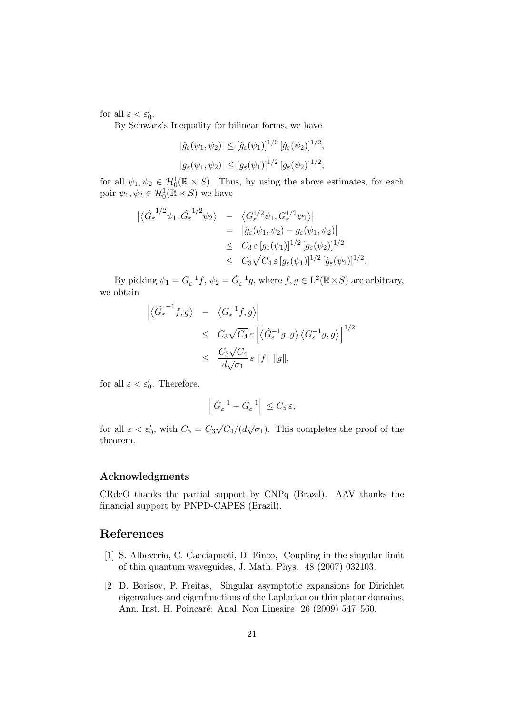for all  $\varepsilon < \varepsilon'_0$ .

By Schwarz's Inequality for bilinear forms, we have

$$
|\hat{g}_{\varepsilon}(\psi_1, \psi_2)| \leq [\hat{g}_{\varepsilon}(\psi_1)]^{1/2} [\hat{g}_{\varepsilon}(\psi_2)]^{1/2},
$$
  

$$
|g_{\varepsilon}(\psi_1, \psi_2)| \leq [g_{\varepsilon}(\psi_1)]^{1/2} [g_{\varepsilon}(\psi_2)]^{1/2},
$$

for all  $\psi_1, \psi_2 \in \mathcal{H}_0^1(\mathbb{R} \times S)$ . Thus, by using the above estimates, for each pair  $\psi_1, \psi_2 \in \mathcal{H}_0^1(\mathbb{R} \times S)$  we have

$$
\begin{array}{rcl}\n\left| \langle \hat{G}_{\varepsilon}^{-1/2} \psi_1, \hat{G}_{\varepsilon}^{-1/2} \psi_2 \rangle \right. & - & \left. \langle G_{\varepsilon}^{1/2} \psi_1, G_{\varepsilon}^{1/2} \psi_2 \rangle \right| \\
& = & \left| \hat{g}_{\varepsilon}(\psi_1, \psi_2) - g_{\varepsilon}(\psi_1, \psi_2) \right| \\
& \leq & C_3 \, \varepsilon \left[ g_{\varepsilon}(\psi_1) \right]^{1/2} \left[ g_{\varepsilon}(\psi_2) \right]^{1/2} \\
& \leq & C_3 \sqrt{C_4} \, \varepsilon \left[ g_{\varepsilon}(\psi_1) \right]^{1/2} \left[ \hat{g}_{\varepsilon}(\psi_2) \right]^{1/2}.\n\end{array}
$$

By picking  $\psi_1 = G_{\varepsilon}^{-1} f$ ,  $\psi_2 = \hat{G}_{\varepsilon}^{-1} g$ , where  $f, g \in L^2(\mathbb{R} \times S)$  are arbitrary, we obtain

$$
\left| \langle \hat{G}_{\varepsilon}^{-1} f, g \rangle - \langle G_{\varepsilon}^{-1} f, g \rangle \right|
$$
  
\n
$$
\leq C_3 \sqrt{C_4} \varepsilon \left[ \langle \hat{G}_{\varepsilon}^{-1} g, g \rangle \langle G_{\varepsilon}^{-1} g, g \rangle \right]^{1/2}
$$
  
\n
$$
\leq \frac{C_3 \sqrt{C_4}}{d\sqrt{\sigma_1}} \varepsilon ||f|| ||g||,
$$

for all  $\varepsilon < \varepsilon_0'$ . Therefore,

$$
\left\|\hat{G}^{-1}_\varepsilon-G^{-1}_\varepsilon\right\|\leq C_5\,\varepsilon,
$$

for all  $\varepsilon < \varepsilon_0'$ , with  $C_5 = C_3$ √  $\overline{C_4}/(d\sqrt{\sigma_1})$ . This completes the proof of the theorem.

#### Acknowledgments

CRdeO thanks the partial support by CNPq (Brazil). AAV thanks the financial support by PNPD-CAPES (Brazil).

# References

- [1] S. Albeverio, C. Cacciapuoti, D. Finco, Coupling in the singular limit of thin quantum waveguides, J. Math. Phys. 48 (2007) 032103.
- [2] D. Borisov, P. Freitas, Singular asymptotic expansions for Dirichlet eigenvalues and eigenfunctions of the Laplacian on thin planar domains, Ann. Inst. H. Poincaré: Anal. Non Lineaire 26 (2009) 547-560.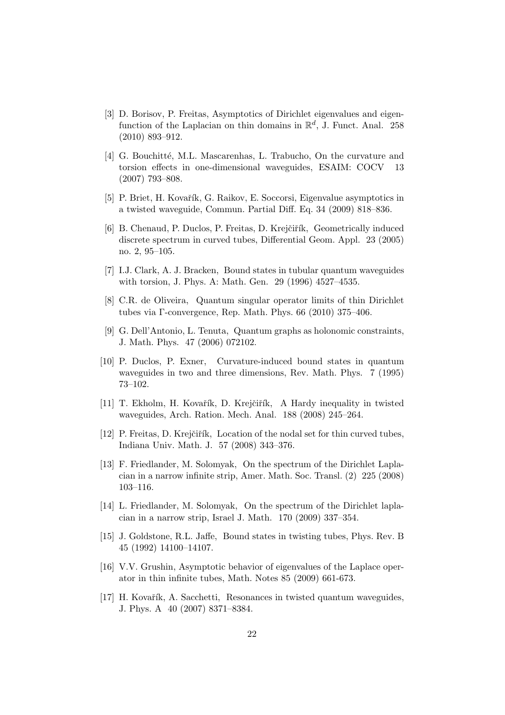- [3] D. Borisov, P. Freitas, Asymptotics of Dirichlet eigenvalues and eigenfunction of the Laplacian on thin domains in  $\mathbb{R}^d$ , J. Funct. Anal. 258 (2010) 893–912.
- [4] G. Bouchitté, M.L. Mascarenhas, L. Trabucho, On the curvature and torsion effects in one-dimensional waveguides, ESAIM: COCV 13 (2007) 793–808.
- [5] P. Briet, H. Kovařík, G. Raikov, E. Soccorsi, Eigenvalue asymptotics in a twisted waveguide, Commun. Partial Diff. Eq. 34 (2009) 818–836.
- [6] B. Chenaud, P. Duclos, P. Freitas, D. Krejčiřík, Geometrically induced discrete spectrum in curved tubes, Differential Geom. Appl. 23 (2005) no. 2, 95–105.
- [7] I.J. Clark, A. J. Bracken, Bound states in tubular quantum waveguides with torsion, J. Phys. A: Math. Gen. 29 (1996) 4527–4535.
- [8] C.R. de Oliveira, Quantum singular operator limits of thin Dirichlet tubes via Γ-convergence, Rep. Math. Phys. 66 (2010) 375–406.
- [9] G. Dell'Antonio, L. Tenuta, Quantum graphs as holonomic constraints, J. Math. Phys. 47 (2006) 072102.
- [10] P. Duclos, P. Exner, Curvature-induced bound states in quantum waveguides in two and three dimensions, Rev. Math. Phys. 7 (1995) 73–102.
- [11] T. Ekholm, H. Kovařík, D. Krejčiřík, A Hardy inequality in twisted waveguides, Arch. Ration. Mech. Anal. 188 (2008) 245–264.
- [12] P. Freitas, D. Krejčiřík, Location of the nodal set for thin curved tubes, Indiana Univ. Math. J. 57 (2008) 343–376.
- [13] F. Friedlander, M. Solomyak, On the spectrum of the Dirichlet Laplacian in a narrow infinite strip, Amer. Math. Soc. Transl. (2) 225 (2008) 103–116.
- [14] L. Friedlander, M. Solomyak, On the spectrum of the Dirichlet laplacian in a narrow strip, Israel J. Math. 170 (2009) 337–354.
- [15] J. Goldstone, R.L. Jaffe, Bound states in twisting tubes, Phys. Rev. B 45 (1992) 14100–14107.
- [16] V.V. Grushin, Asymptotic behavior of eigenvalues of the Laplace operator in thin infinite tubes, Math. Notes 85 (2009) 661-673.
- [17] H. Kovařík, A. Sacchetti, Resonances in twisted quantum waveguides, J. Phys. A 40 (2007) 8371–8384.